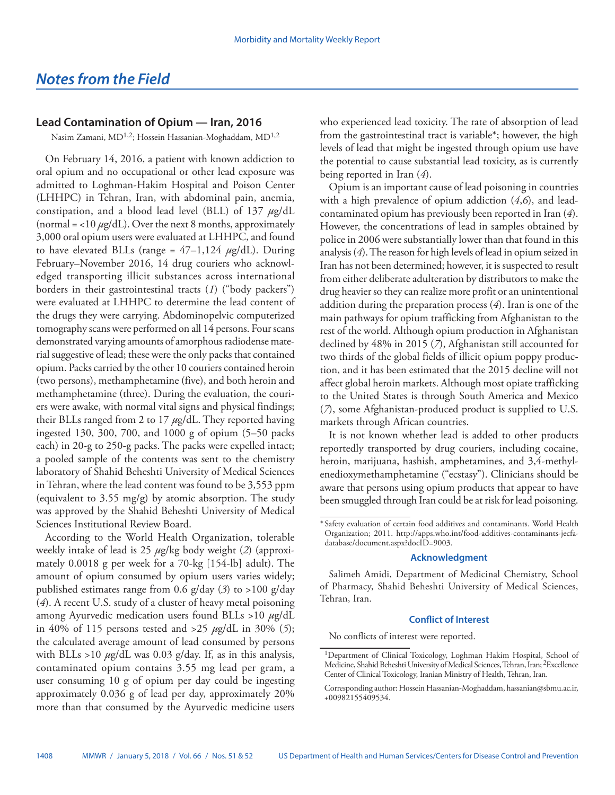## **Lead Contamination of Opium — Iran, 2016**

Nasim Zamani, MD1,2; Hossein Hassanian-Moghaddam, MD1,2

On February 14, 2016, a patient with known addiction to oral opium and no occupational or other lead exposure was admitted to Loghman-Hakim Hospital and Poison Center (LHHPC) in Tehran, Iran, with abdominal pain, anemia, constipation, and a blood lead level (BLL) of 137 *µ*g/dL (normal  $=$  <10  $\mu$ g/dL). Over the next 8 months, approximately 3,000 oral opium users were evaluated at LHHPC, and found to have elevated BLLs (range =  $47-1,124 \mu g/dL$ ). During February–November 2016, 14 drug couriers who acknowledged transporting illicit substances across international borders in their gastrointestinal tracts (*1*) ("body packers") were evaluated at LHHPC to determine the lead content of the drugs they were carrying. Abdominopelvic computerized tomography scans were performed on all 14 persons. Four scans demonstrated varying amounts of amorphous radiodense material suggestive of lead; these were the only packs that contained opium. Packs carried by the other 10 couriers contained heroin (two persons), methamphetamine (five), and both heroin and methamphetamine (three). During the evaluation, the couriers were awake, with normal vital signs and physical findings; their BLLs ranged from 2 to 17 *µ*g/dL. They reported having ingested 130, 300, 700, and 1000 g of opium (5–50 packs each) in 20-g to 250-g packs. The packs were expelled intact; a pooled sample of the contents was sent to the chemistry laboratory of Shahid Beheshti University of Medical Sciences in Tehran, where the lead content was found to be 3,553 ppm (equivalent to 3.55 mg/g) by atomic absorption. The study was approved by the Shahid Beheshti University of Medical Sciences Institutional Review Board.

According to the World Health Organization, tolerable weekly intake of lead is 25 *µ*g/kg body weight (*2*) (approximately 0.0018 g per week for a 70-kg [154-lb] adult). The amount of opium consumed by opium users varies widely; published estimates range from 0.6 g/day (*3*) to >100 g/day (*4*). A recent U.S. study of a cluster of heavy metal poisoning among Ayurvedic medication users found BLLs >10 *µ*g/dL in 40% of 115 persons tested and >25 *µ*g/dL in 30% (*5*); the calculated average amount of lead consumed by persons with BLLs >10  $\mu$ g/dL was 0.03 g/day. If, as in this analysis, contaminated opium contains 3.55 mg lead per gram, a user consuming 10 g of opium per day could be ingesting approximately 0.036 g of lead per day, approximately 20% more than that consumed by the Ayurvedic medicine users

who experienced lead toxicity. The rate of absorption of lead from the gastrointestinal tract is variable\*; however, the high levels of lead that might be ingested through opium use have the potential to cause substantial lead toxicity, as is currently being reported in Iran (*4*).

Opium is an important cause of lead poisoning in countries with a high prevalence of opium addiction (*4*,*6*), and leadcontaminated opium has previously been reported in Iran (*4*). However, the concentrations of lead in samples obtained by police in 2006 were substantially lower than that found in this analysis (*4*). The reason for high levels of lead in opium seized in Iran has not been determined; however, it is suspected to result from either deliberate adulteration by distributors to make the drug heavier so they can realize more profit or an unintentional addition during the preparation process (*4*). Iran is one of the main pathways for opium trafficking from Afghanistan to the rest of the world. Although opium production in Afghanistan declined by 48% in 2015 (*7*), Afghanistan still accounted for two thirds of the global fields of illicit opium poppy production, and it has been estimated that the 2015 decline will not affect global heroin markets. Although most opiate trafficking to the United States is through South America and Mexico (*7*), some Afghanistan-produced product is supplied to U.S. markets through African countries.

It is not known whether lead is added to other products reportedly transported by drug couriers, including cocaine, heroin, marijuana, hashish, amphetamines, and 3,4-methylenedioxymethamphetamine ("ecstasy"). Clinicians should be aware that persons using opium products that appear to have been smuggled through Iran could be at risk for lead poisoning.

## **Acknowledgment**

Salimeh Amidi, Department of Medicinal Chemistry, School of Pharmacy, Shahid Beheshti University of Medical Sciences, Tehran, Iran.

## **Conflict of Interest**

No conflicts of interest were reported.

<sup>\*</sup> Safety evaluation of certain food additives and contaminants. World Health Organization; 2011. [http://apps.who.int/food-additives-contaminants-jecfa](http://apps.who.int/food-additives-contaminants-jecfa-database/document.aspx?docID=9003)[database/document.aspx?docID=9003.](http://apps.who.int/food-additives-contaminants-jecfa-database/document.aspx?docID=9003)

<sup>1</sup>Department of Clinical Toxicology, Loghman Hakim Hospital, School of Medicine, Shahid Beheshti University of Medical Sciences, Tehran, Iran; 2Excellence Center of Clinical Toxicology, Iranian Ministry of Health, Tehran, Iran.

Corresponding author: Hossein Hassanian-Moghaddam, [hassanian@sbmu.ac.ir,](mailto:hassanian@sbmu.ac.ir) +00982155409534.